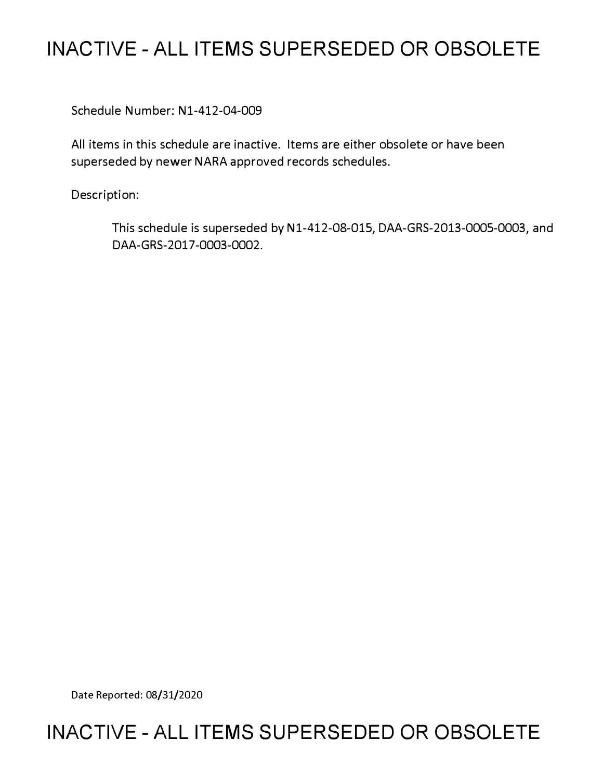# **INACTIVE - ALL ITEMS SUPERSEDED OR OBSOLETE**

Schedule Number: Nl-412-04-009

All items in this schedule are inactive. Items are either obsolete or have been superseded by newer NARA approved records schedules.

Description:

This schedule is superseded by Nl-412-08-015, DAA-GRS-2013-0005-0003, and DAA-GRS-2017-0003-0002.

Date Reported: 08/31/2020

# **INACTIVE - ALL ITEMS SUPERSEDED OR OBSOLETE**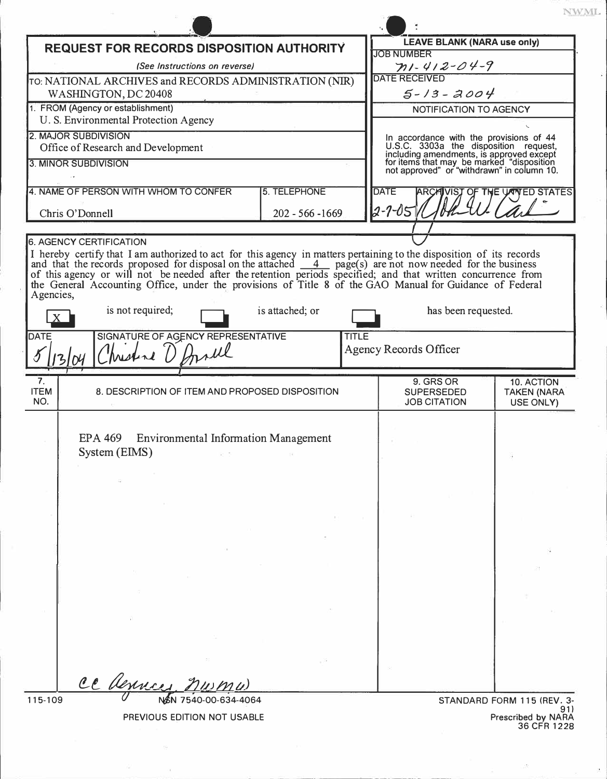|                                                                            |                                                                                                                                                                                                                                                                                                                                                                                                                                                               |                                                         |                                                                                                                                                                                                                         | NWML.                            |
|----------------------------------------------------------------------------|---------------------------------------------------------------------------------------------------------------------------------------------------------------------------------------------------------------------------------------------------------------------------------------------------------------------------------------------------------------------------------------------------------------------------------------------------------------|---------------------------------------------------------|-------------------------------------------------------------------------------------------------------------------------------------------------------------------------------------------------------------------------|----------------------------------|
| <b>REQUEST FOR RECORDS DISPOSITION AUTHORITY</b>                           |                                                                                                                                                                                                                                                                                                                                                                                                                                                               | <b>LEAVE BLANK (NARA use only)</b><br><b>JOB NUMBER</b> |                                                                                                                                                                                                                         |                                  |
|                                                                            | (See Instructions on reverse)                                                                                                                                                                                                                                                                                                                                                                                                                                 |                                                         | $71 - 412 - 04 - 9$                                                                                                                                                                                                     |                                  |
| TO: NATIONAL ARCHIVES and RECORDS ADMINISTRATION (NIR)                     |                                                                                                                                                                                                                                                                                                                                                                                                                                                               |                                                         | <b>DATE RECEIVED</b>                                                                                                                                                                                                    |                                  |
| WASHINGTON, DC 20408                                                       |                                                                                                                                                                                                                                                                                                                                                                                                                                                               |                                                         | $5 - 13 - 2004$                                                                                                                                                                                                         |                                  |
| 1. FROM (Agency or establishment)<br>U. S. Environmental Protection Agency |                                                                                                                                                                                                                                                                                                                                                                                                                                                               | NOTIFICATION TO AGENCY                                  |                                                                                                                                                                                                                         |                                  |
|                                                                            |                                                                                                                                                                                                                                                                                                                                                                                                                                                               |                                                         |                                                                                                                                                                                                                         |                                  |
| 2. MAJOR SUBDIVISION<br>Office of Research and Development                 |                                                                                                                                                                                                                                                                                                                                                                                                                                                               |                                                         | In accordance with the provisions of 44<br>U.S.C. 3303a the disposition request,<br>including amendments, is approved except<br>for items that may be marked "disposition<br>not approved" or "withdrawn" in column 10. |                                  |
| 3. MINOR SUBDIVISION                                                       |                                                                                                                                                                                                                                                                                                                                                                                                                                                               |                                                         |                                                                                                                                                                                                                         |                                  |
|                                                                            |                                                                                                                                                                                                                                                                                                                                                                                                                                                               |                                                         |                                                                                                                                                                                                                         |                                  |
|                                                                            | 4. NAME OF PERSON WITH WHOM TO CONFER                                                                                                                                                                                                                                                                                                                                                                                                                         | 5. TELEPHONE                                            | <b>DATE</b>                                                                                                                                                                                                             | <b>ED STATES</b>                 |
| Chris O'Donnell<br>202 - 566 - 1669                                        |                                                                                                                                                                                                                                                                                                                                                                                                                                                               | $2 - 7 - 05$                                            |                                                                                                                                                                                                                         |                                  |
|                                                                            |                                                                                                                                                                                                                                                                                                                                                                                                                                                               |                                                         |                                                                                                                                                                                                                         |                                  |
|                                                                            | 6. AGENCY CERTIFICATION                                                                                                                                                                                                                                                                                                                                                                                                                                       |                                                         |                                                                                                                                                                                                                         |                                  |
| Agencies,                                                                  | I hereby certify that I am authorized to act for this agency in matters pertaining to the disposition of its records<br>and that the records proposed for disposal on the attached 4 page(s) are not now needed for the business<br>of this agency or will not be needed after the retention periods specified; and that written concurrence from<br>the General Accounting Office, under the provisions of Title 8 of the GAO Manual for Guidance of Federal |                                                         |                                                                                                                                                                                                                         |                                  |
| $\mathbf{X}$                                                               | is not required;                                                                                                                                                                                                                                                                                                                                                                                                                                              | is attached; or                                         | has been requested.                                                                                                                                                                                                     |                                  |
| <b>DATE</b>                                                                | SIGNATURE OF AGENCY REPRESENTATIVE<br>Mestere D'Annell                                                                                                                                                                                                                                                                                                                                                                                                        | <b>TITLE</b>                                            | Agency Records Officer                                                                                                                                                                                                  |                                  |
|                                                                            |                                                                                                                                                                                                                                                                                                                                                                                                                                                               |                                                         |                                                                                                                                                                                                                         |                                  |
|                                                                            |                                                                                                                                                                                                                                                                                                                                                                                                                                                               |                                                         |                                                                                                                                                                                                                         |                                  |
|                                                                            | 8. DESCRIPTION OF ITEM AND PROPOSED DISPOSITION                                                                                                                                                                                                                                                                                                                                                                                                               |                                                         | 9. GRS OR<br><b>SUPERSEDED</b>                                                                                                                                                                                          | 10. ACTION<br><b>TAKEN (NARA</b> |
|                                                                            |                                                                                                                                                                                                                                                                                                                                                                                                                                                               |                                                         | <b>JOB CITATION</b>                                                                                                                                                                                                     | USE ONLY)                        |
|                                                                            | EPA 469 Environmental Information Management<br>System (EIMS)                                                                                                                                                                                                                                                                                                                                                                                                 |                                                         |                                                                                                                                                                                                                         |                                  |
|                                                                            |                                                                                                                                                                                                                                                                                                                                                                                                                                                               |                                                         |                                                                                                                                                                                                                         |                                  |
|                                                                            |                                                                                                                                                                                                                                                                                                                                                                                                                                                               |                                                         |                                                                                                                                                                                                                         |                                  |
|                                                                            |                                                                                                                                                                                                                                                                                                                                                                                                                                                               |                                                         |                                                                                                                                                                                                                         |                                  |
|                                                                            |                                                                                                                                                                                                                                                                                                                                                                                                                                                               |                                                         |                                                                                                                                                                                                                         |                                  |
|                                                                            |                                                                                                                                                                                                                                                                                                                                                                                                                                                               |                                                         |                                                                                                                                                                                                                         |                                  |
|                                                                            |                                                                                                                                                                                                                                                                                                                                                                                                                                                               |                                                         |                                                                                                                                                                                                                         |                                  |
|                                                                            |                                                                                                                                                                                                                                                                                                                                                                                                                                                               |                                                         |                                                                                                                                                                                                                         |                                  |
|                                                                            |                                                                                                                                                                                                                                                                                                                                                                                                                                                               |                                                         |                                                                                                                                                                                                                         |                                  |
|                                                                            |                                                                                                                                                                                                                                                                                                                                                                                                                                                               |                                                         |                                                                                                                                                                                                                         |                                  |
|                                                                            |                                                                                                                                                                                                                                                                                                                                                                                                                                                               |                                                         |                                                                                                                                                                                                                         |                                  |
|                                                                            |                                                                                                                                                                                                                                                                                                                                                                                                                                                               |                                                         |                                                                                                                                                                                                                         |                                  |
|                                                                            |                                                                                                                                                                                                                                                                                                                                                                                                                                                               |                                                         |                                                                                                                                                                                                                         |                                  |
| 7.<br><b>ITEM</b><br>NO.                                                   |                                                                                                                                                                                                                                                                                                                                                                                                                                                               |                                                         |                                                                                                                                                                                                                         |                                  |

PREVIOUS EDITION NOT USABLE

 $\sim 125$ 

 $\sim 100$ 

Prescribed by NARA<br>36 CFR 1228

 $\lambda_{\rm NL}$ 

 $\mathcal{U}_i$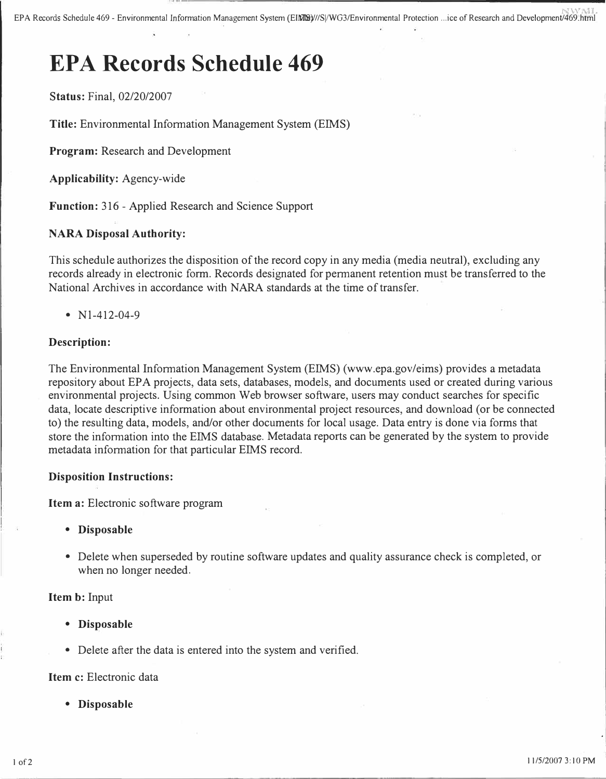# **EPA Records Schedule 469**

**Status:** Final, 02/20/2007

**Title:** Environmental Information Management System (EIMS)

**Program:** Research and Development

**Applicability:** Agency-wide

**Function:** 316 - Applied Research and Science Support

## **NARA Disposal Authority:**

This schedule authorizes the disposition of the record copy in any media (media neutral), excluding any records already in electronic form. Records designated for permanent retention must be transferred to the National Archives in accordance with NARA standards at the time of transfer.

•  $N1-412-04-9$ 

### **Description:**

The Environmental Information Management System (EIMS) ([www.epa.gov/eims\)](www.epa.gov/eims) provides a metadata repository about EPA projects, data sets, databases, models, and documents used or created during various environmental projects. Using common Web browser software, users may conduct searches for specific data, locate descriptive information about environmental project resources, and download (or be connected to) the resulting data, models, and/or other documents for local usage. Data entry is done via forms that store the information into the EIMS database. Metadata reports can be generated by the system to provide metadata information for that particular EIMS record.

### **Disposition Instructions:**

**Item a:** Electronic software program

- **Disposable**
- Delete when superseded by routine software updates and quality assurance check is completed, or when no longer needed.

**Item b:** Input

- **Disposable**
- Delete after the data is entered into the system and verified.

**Item c:** Electronic data

**• Disposable** 

.

 $\ddot{\phantom{a}}$